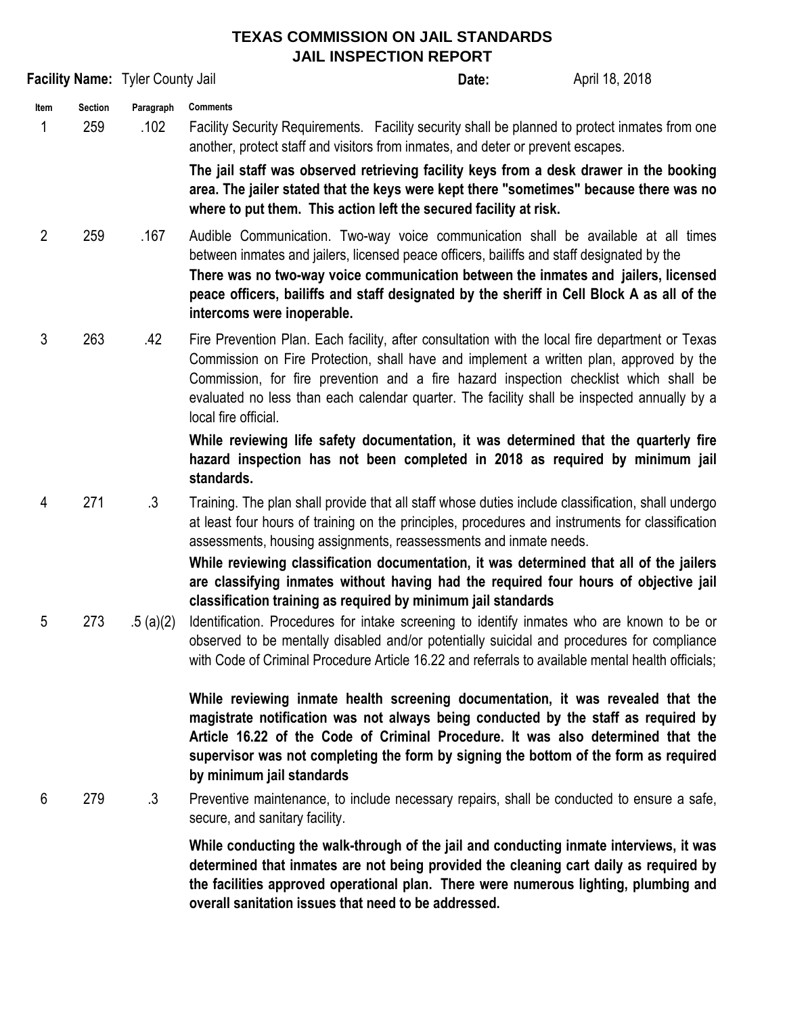## **TEXAS COMMISSION ON JAIL STANDARDS JAIL INSPECTION REPORT**

| <b>Facility Name: Tyler County Jail</b> |                       |                   |                                                                                                                                                                                                                                                                                                                                                                                                                                                        | Date: | April 18, 2018 |
|-----------------------------------------|-----------------------|-------------------|--------------------------------------------------------------------------------------------------------------------------------------------------------------------------------------------------------------------------------------------------------------------------------------------------------------------------------------------------------------------------------------------------------------------------------------------------------|-------|----------------|
| Item<br>1                               | <b>Section</b><br>259 | Paragraph<br>.102 | <b>Comments</b><br>Facility Security Requirements. Facility security shall be planned to protect inmates from one<br>another, protect staff and visitors from inmates, and deter or prevent escapes.                                                                                                                                                                                                                                                   |       |                |
|                                         |                       |                   | The jail staff was observed retrieving facility keys from a desk drawer in the booking<br>area. The jailer stated that the keys were kept there "sometimes" because there was no<br>where to put them. This action left the secured facility at risk.                                                                                                                                                                                                  |       |                |
| $\overline{2}$                          | 259                   | .167              | Audible Communication. Two-way voice communication shall be available at all times<br>between inmates and jailers, licensed peace officers, bailiffs and staff designated by the<br>There was no two-way voice communication between the inmates and jailers, licensed<br>peace officers, bailiffs and staff designated by the sheriff in Cell Block A as all of the<br>intercoms were inoperable.                                                     |       |                |
| 3                                       | 263                   | .42               | Fire Prevention Plan. Each facility, after consultation with the local fire department or Texas<br>Commission on Fire Protection, shall have and implement a written plan, approved by the<br>Commission, for fire prevention and a fire hazard inspection checklist which shall be<br>evaluated no less than each calendar quarter. The facility shall be inspected annually by a<br>local fire official.                                             |       |                |
|                                         |                       |                   | While reviewing life safety documentation, it was determined that the quarterly fire<br>hazard inspection has not been completed in 2018 as required by minimum jail<br>standards.                                                                                                                                                                                                                                                                     |       |                |
| 4                                       | 271                   | $\cdot$ 3         | Training. The plan shall provide that all staff whose duties include classification, shall undergo<br>at least four hours of training on the principles, procedures and instruments for classification<br>assessments, housing assignments, reassessments and inmate needs.                                                                                                                                                                            |       |                |
| 5                                       | 273                   | .5(a)(2)          | While reviewing classification documentation, it was determined that all of the jailers<br>are classifying inmates without having had the required four hours of objective jail<br>classification training as required by minimum jail standards<br>Identification. Procedures for intake screening to identify inmates who are known to be or<br>observed to be mentally disabled and/or potentially suicidal and procedures for compliance           |       |                |
|                                         |                       |                   | with Code of Criminal Procedure Article 16.22 and referrals to available mental health officials;<br>While reviewing inmate health screening documentation, it was revealed that the<br>magistrate notification was not always being conducted by the staff as required by<br>Article 16.22 of the Code of Criminal Procedure. It was also determined that the<br>supervisor was not completing the form by signing the bottom of the form as required |       |                |
| 6                                       | 279                   | $\cdot$ 3         | by minimum jail standards<br>Preventive maintenance, to include necessary repairs, shall be conducted to ensure a safe,<br>secure, and sanitary facility.                                                                                                                                                                                                                                                                                              |       |                |
|                                         |                       |                   | While conducting the walk-through of the jail and conducting inmate interviews, it was<br>determined that inmates are not being provided the cleaning cart daily as required by<br>the facilities approved operational plan. There were numerous lighting, plumbing and<br>overall sanitation issues that need to be addressed.                                                                                                                        |       |                |